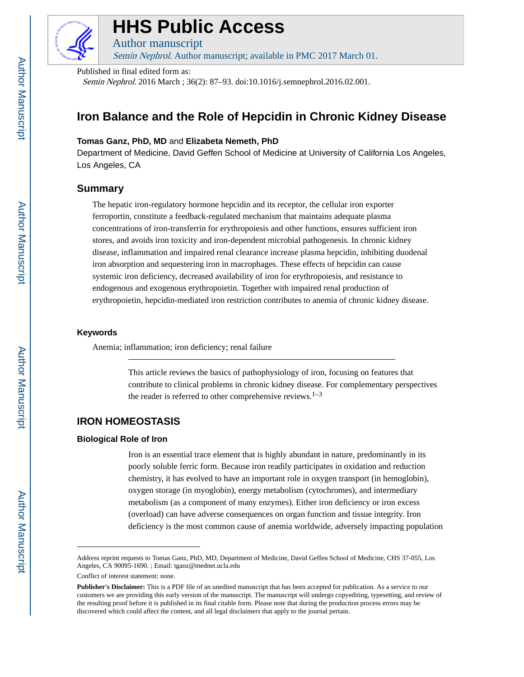

# **HHS Public Access**

Author manuscript Semin Nephrol. Author manuscript; available in PMC 2017 March 01.

Published in final edited form as:

Semin Nephrol. 2016 March ; 36(2): 87–93. doi:10.1016/j.semnephrol.2016.02.001.

## **Iron Balance and the Role of Hepcidin in Chronic Kidney Disease**

## **Tomas Ganz, PhD, MD** and **Elizabeta Nemeth, PhD**

Department of Medicine, David Geffen School of Medicine at University of California Los Angeles, Los Angeles, CA

## **Summary**

The hepatic iron-regulatory hormone hepcidin and its receptor, the cellular iron exporter ferroportin, constitute a feedback-regulated mechanism that maintains adequate plasma concentrations of iron-transferrin for erythropoiesis and other functions, ensures sufficient iron stores, and avoids iron toxicity and iron-dependent microbial pathogenesis. In chronic kidney disease, inflammation and impaired renal clearance increase plasma hepcidin, inhibiting duodenal iron absorption and sequestering iron in macrophages. These effects of hepcidin can cause systemic iron deficiency, decreased availability of iron for erythropoiesis, and resistance to endogenous and exogenous erythropoietin. Together with impaired renal production of erythropoietin, hepcidin-mediated iron restriction contributes to anemia of chronic kidney disease.

#### **Keywords**

Anemia; inflammation; iron deficiency; renal failure

This article reviews the basics of pathophysiology of iron, focusing on features that contribute to clinical problems in chronic kidney disease. For complementary perspectives the reader is referred to other comprehensive reviews.<sup>1–3</sup>

## **IRON HOMEOSTASIS**

#### **Biological Role of Iron**

Iron is an essential trace element that is highly abundant in nature, predominantly in its poorly soluble ferric form. Because iron readily participates in oxidation and reduction chemistry, it has evolved to have an important role in oxygen transport (in hemoglobin), oxygen storage (in myoglobin), energy metabolism (cytochromes), and intermediary metabolism (as a component of many enzymes). Either iron deficiency or iron excess (overload) can have adverse consequences on organ function and tissue integrity. Iron deficiency is the most common cause of anemia worldwide, adversely impacting population

Address reprint requests to Tomas Ganz, PhD, MD, Department of Medicine, David Geffen School of Medicine, CHS 37-055, Los Angeles, CA 90095-1690. ; Email: tganz@mednet.ucla.edu

Conflict of interest statement: none.

**Publisher's Disclaimer:** This is a PDF file of an unedited manuscript that has been accepted for publication. As a service to our customers we are providing this early version of the manuscript. The manuscript will undergo copyediting, typesetting, and review of the resulting proof before it is published in its final citable form. Please note that during the production process errors may be discovered which could affect the content, and all legal disclaimers that apply to the journal pertain.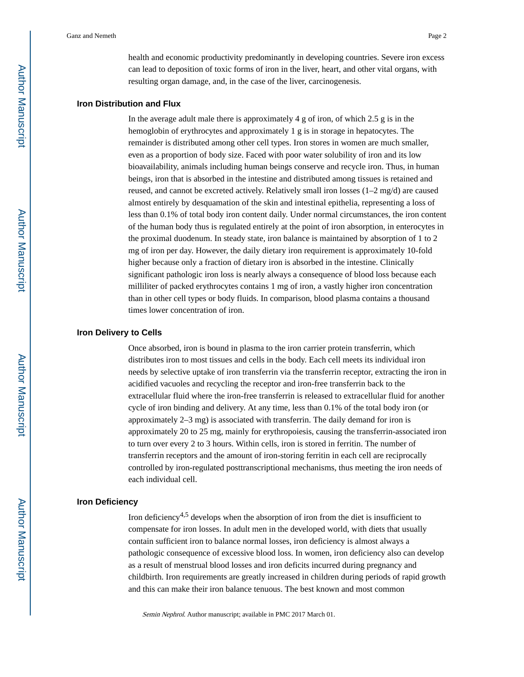health and economic productivity predominantly in developing countries. Severe iron excess can lead to deposition of toxic forms of iron in the liver, heart, and other vital organs, with resulting organ damage, and, in the case of the liver, carcinogenesis.

#### **Iron Distribution and Flux**

In the average adult male there is approximately  $4 \text{ g}$  of iron, of which 2.5 g is in the hemoglobin of erythrocytes and approximately 1 g is in storage in hepatocytes. The remainder is distributed among other cell types. Iron stores in women are much smaller, even as a proportion of body size. Faced with poor water solubility of iron and its low bioavailability, animals including human beings conserve and recycle iron. Thus, in human beings, iron that is absorbed in the intestine and distributed among tissues is retained and reused, and cannot be excreted actively. Relatively small iron losses (1–2 mg/d) are caused almost entirely by desquamation of the skin and intestinal epithelia, representing a loss of less than 0.1% of total body iron content daily. Under normal circumstances, the iron content of the human body thus is regulated entirely at the point of iron absorption, in enterocytes in the proximal duodenum. In steady state, iron balance is maintained by absorption of 1 to 2 mg of iron per day. However, the daily dietary iron requirement is approximately 10-fold higher because only a fraction of dietary iron is absorbed in the intestine. Clinically significant pathologic iron loss is nearly always a consequence of blood loss because each milliliter of packed erythrocytes contains 1 mg of iron, a vastly higher iron concentration than in other cell types or body fluids. In comparison, blood plasma contains a thousand times lower concentration of iron.

#### **Iron Delivery to Cells**

Once absorbed, iron is bound in plasma to the iron carrier protein transferrin, which distributes iron to most tissues and cells in the body. Each cell meets its individual iron needs by selective uptake of iron transferrin via the transferrin receptor, extracting the iron in acidified vacuoles and recycling the receptor and iron-free transferrin back to the extracellular fluid where the iron-free transferrin is released to extracellular fluid for another cycle of iron binding and delivery. At any time, less than 0.1% of the total body iron (or approximately 2–3 mg) is associated with transferrin. The daily demand for iron is approximately 20 to 25 mg, mainly for erythropoiesis, causing the transferrin-associated iron to turn over every 2 to 3 hours. Within cells, iron is stored in ferritin. The number of transferrin receptors and the amount of iron-storing ferritin in each cell are reciprocally controlled by iron-regulated posttranscriptional mechanisms, thus meeting the iron needs of each individual cell.

#### **Iron Deficiency**

Iron deficiency<sup>4,5</sup> develops when the absorption of iron from the diet is insufficient to compensate for iron losses. In adult men in the developed world, with diets that usually contain sufficient iron to balance normal losses, iron deficiency is almost always a pathologic consequence of excessive blood loss. In women, iron deficiency also can develop as a result of menstrual blood losses and iron deficits incurred during pregnancy and childbirth. Iron requirements are greatly increased in children during periods of rapid growth and this can make their iron balance tenuous. The best known and most common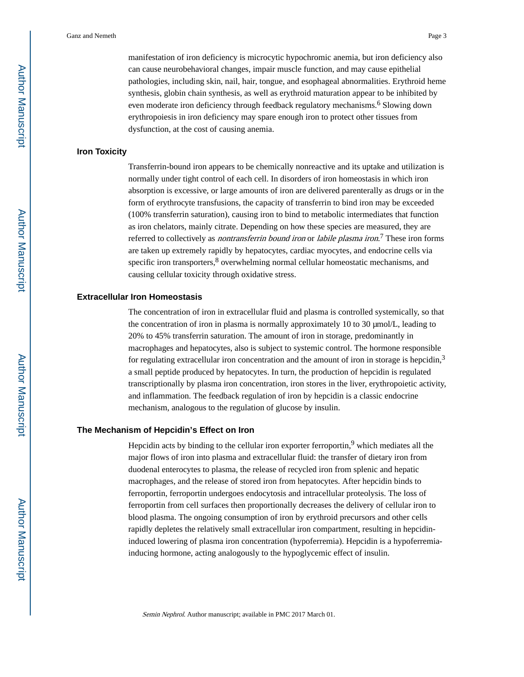manifestation of iron deficiency is microcytic hypochromic anemia, but iron deficiency also can cause neurobehavioral changes, impair muscle function, and may cause epithelial pathologies, including skin, nail, hair, tongue, and esophageal abnormalities. Erythroid heme synthesis, globin chain synthesis, as well as erythroid maturation appear to be inhibited by even moderate iron deficiency through feedback regulatory mechanisms.<sup>6</sup> Slowing down erythropoiesis in iron deficiency may spare enough iron to protect other tissues from dysfunction, at the cost of causing anemia.

#### **Iron Toxicity**

Transferrin-bound iron appears to be chemically nonreactive and its uptake and utilization is normally under tight control of each cell. In disorders of iron homeostasis in which iron absorption is excessive, or large amounts of iron are delivered parenterally as drugs or in the form of erythrocyte transfusions, the capacity of transferrin to bind iron may be exceeded (100% transferrin saturation), causing iron to bind to metabolic intermediates that function as iron chelators, mainly citrate. Depending on how these species are measured, they are referred to collectively as *nontransferrin bound iron* or *labile plasma iron*.<sup>7</sup> These iron forms are taken up extremely rapidly by hepatocytes, cardiac myocytes, and endocrine cells via specific iron transporters, $8$  overwhelming normal cellular homeostatic mechanisms, and causing cellular toxicity through oxidative stress.

#### **Extracellular Iron Homeostasis**

The concentration of iron in extracellular fluid and plasma is controlled systemically, so that the concentration of iron in plasma is normally approximately 10 to 30 μmol/L, leading to 20% to 45% transferrin saturation. The amount of iron in storage, predominantly in macrophages and hepatocytes, also is subject to systemic control. The hormone responsible for regulating extracellular iron concentration and the amount of iron in storage is hepcidin,<sup>3</sup> a small peptide produced by hepatocytes. In turn, the production of hepcidin is regulated transcriptionally by plasma iron concentration, iron stores in the liver, erythropoietic activity, and inflammation. The feedback regulation of iron by hepcidin is a classic endocrine mechanism, analogous to the regulation of glucose by insulin.

#### **The Mechanism of Hepcidin's Effect on Iron**

Hepcidin acts by binding to the cellular iron exporter ferroportin,  $9$  which mediates all the major flows of iron into plasma and extracellular fluid: the transfer of dietary iron from duodenal enterocytes to plasma, the release of recycled iron from splenic and hepatic macrophages, and the release of stored iron from hepatocytes. After hepcidin binds to ferroportin, ferroportin undergoes endocytosis and intracellular proteolysis. The loss of ferroportin from cell surfaces then proportionally decreases the delivery of cellular iron to blood plasma. The ongoing consumption of iron by erythroid precursors and other cells rapidly depletes the relatively small extracellular iron compartment, resulting in hepcidininduced lowering of plasma iron concentration (hypoferremia). Hepcidin is a hypoferremiainducing hormone, acting analogously to the hypoglycemic effect of insulin.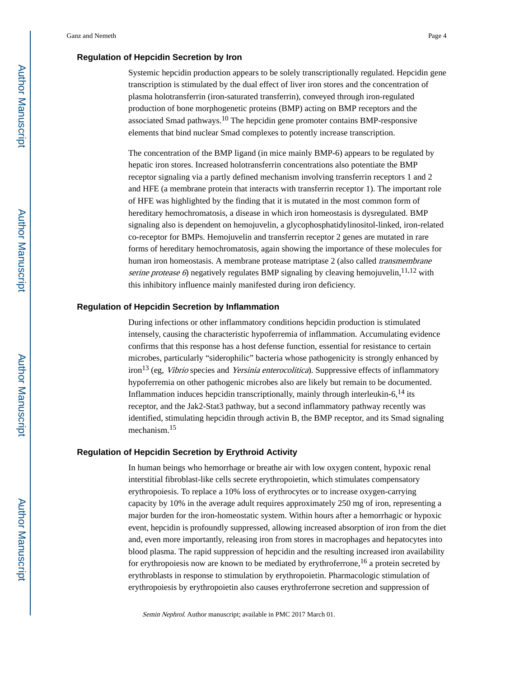#### **Regulation of Hepcidin Secretion by Iron**

Systemic hepcidin production appears to be solely transcriptionally regulated. Hepcidin gene transcription is stimulated by the dual effect of liver iron stores and the concentration of plasma holotransferrin (iron-saturated transferrin), conveyed through iron-regulated production of bone morphogenetic proteins (BMP) acting on BMP receptors and the associated Smad pathways.10 The hepcidin gene promoter contains BMP-responsive elements that bind nuclear Smad complexes to potently increase transcription.

The concentration of the BMP ligand (in mice mainly BMP-6) appears to be regulated by hepatic iron stores. Increased holotransferrin concentrations also potentiate the BMP receptor signaling via a partly defined mechanism involving transferrin receptors 1 and 2 and HFE (a membrane protein that interacts with transferrin receptor 1). The important role of HFE was highlighted by the finding that it is mutated in the most common form of hereditary hemochromatosis, a disease in which iron homeostasis is dysregulated. BMP signaling also is dependent on hemojuvelin, a glycophosphatidylinositol-linked, iron-related co-receptor for BMPs. Hemojuvelin and transferrin receptor 2 genes are mutated in rare forms of hereditary hemochromatosis, again showing the importance of these molecules for human iron homeostasis. A membrane protease matriptase 2 (also called *transmembrane* serine protease 6) negatively regulates BMP signaling by cleaving hemojuvelin,  $^{11,12}$  with this inhibitory influence mainly manifested during iron deficiency.

#### **Regulation of Hepcidin Secretion by Inflammation**

During infections or other inflammatory conditions hepcidin production is stimulated intensely, causing the characteristic hypoferremia of inflammation. Accumulating evidence confirms that this response has a host defense function, essential for resistance to certain microbes, particularly "siderophilic" bacteria whose pathogenicity is strongly enhanced by  $\text{iron}^{13}$  (eg, *Vibrio* species and *Yersinia enterocolitica*). Suppressive effects of inflammatory hypoferremia on other pathogenic microbes also are likely but remain to be documented. Inflammation induces hepcidin transcriptionally, mainly through interleukin- $6<sup>14</sup>$  its receptor, and the Jak2-Stat3 pathway, but a second inflammatory pathway recently was identified, stimulating hepcidin through activin B, the BMP receptor, and its Smad signaling mechanism.<sup>15</sup>

#### **Regulation of Hepcidin Secretion by Erythroid Activity**

In human beings who hemorrhage or breathe air with low oxygen content, hypoxic renal interstitial fibroblast-like cells secrete erythropoietin, which stimulates compensatory erythropoiesis. To replace a 10% loss of erythrocytes or to increase oxygen-carrying capacity by 10% in the average adult requires approximately 250 mg of iron, representing a major burden for the iron-homeostatic system. Within hours after a hemorrhagic or hypoxic event, hepcidin is profoundly suppressed, allowing increased absorption of iron from the diet and, even more importantly, releasing iron from stores in macrophages and hepatocytes into blood plasma. The rapid suppression of hepcidin and the resulting increased iron availability for erythropoiesis now are known to be mediated by erythroferrone,<sup>16</sup> a protein secreted by erythroblasts in response to stimulation by erythropoietin. Pharmacologic stimulation of erythropoiesis by erythropoietin also causes erythroferrone secretion and suppression of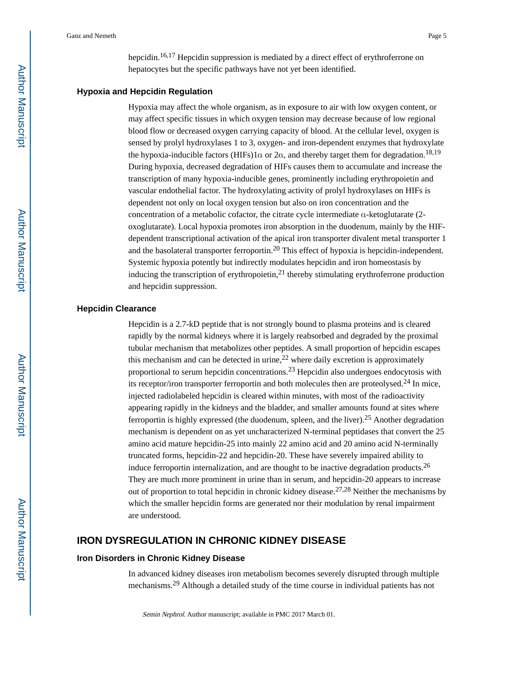hepcidin.<sup>16,17</sup> Hepcidin suppression is mediated by a direct effect of erythroferrone on hepatocytes but the specific pathways have not yet been identified.

#### **Hypoxia and Hepcidin Regulation**

Hypoxia may affect the whole organism, as in exposure to air with low oxygen content, or may affect specific tissues in which oxygen tension may decrease because of low regional blood flow or decreased oxygen carrying capacity of blood. At the cellular level, oxygen is sensed by prolyl hydroxylases 1 to 3, oxygen- and iron-dependent enzymes that hydroxylate the hypoxia-inducible factors (HIFs)1 $\alpha$  or 2 $\alpha$ , and thereby target them for degradation.<sup>18,19</sup> During hypoxia, decreased degradation of HIFs causes them to accumulate and increase the transcription of many hypoxia-inducible genes, prominently including erythropoietin and vascular endothelial factor. The hydroxylating activity of prolyl hydroxylases on HIFs is dependent not only on local oxygen tension but also on iron concentration and the concentration of a metabolic cofactor, the citrate cycle intermediate α-ketoglutarate (2 oxoglutarate). Local hypoxia promotes iron absorption in the duodenum, mainly by the HIFdependent transcriptional activation of the apical iron transporter divalent metal transporter 1 and the basolateral transporter ferroportin.20 This effect of hypoxia is hepcidin-independent. Systemic hypoxia potently but indirectly modulates hepcidin and iron homeostasis by inducing the transcription of erythropoietin, $^{21}$  thereby stimulating erythroferrone production and hepcidin suppression.

#### **Hepcidin Clearance**

Hepcidin is a 2.7-kD peptide that is not strongly bound to plasma proteins and is cleared rapidly by the normal kidneys where it is largely reabsorbed and degraded by the proximal tubular mechanism that metabolizes other peptides. A small proportion of hepcidin escapes this mechanism and can be detected in urine,  $^{22}$  where daily excretion is approximately proportional to serum hepcidin concentrations.<sup>23</sup> Hepcidin also undergoes endocytosis with its receptor/iron transporter ferroportin and both molecules then are proteolysed.24 In mice, injected radiolabeled hepcidin is cleared within minutes, with most of the radioactivity appearing rapidly in the kidneys and the bladder, and smaller amounts found at sites where ferroportin is highly expressed (the duodenum, spleen, and the liver).25 Another degradation mechanism is dependent on as yet uncharacterized N-terminal peptidases that convert the 25 amino acid mature hepcidin-25 into mainly 22 amino acid and 20 amino acid N-terminally truncated forms, hepcidin-22 and hepcidin-20. These have severely impaired ability to induce ferroportin internalization, and are thought to be inactive degradation products.<sup>26</sup> They are much more prominent in urine than in serum, and hepcidin-20 appears to increase out of proportion to total hepcidin in chronic kidney disease.<sup>27,28</sup> Neither the mechanisms by which the smaller hepcidin forms are generated nor their modulation by renal impairment are understood.

## **IRON DYSREGULATION IN CHRONIC KIDNEY DISEASE**

#### **Iron Disorders in Chronic Kidney Disease**

In advanced kidney diseases iron metabolism becomes severely disrupted through multiple mechanisms.29 Although a detailed study of the time course in individual patients has not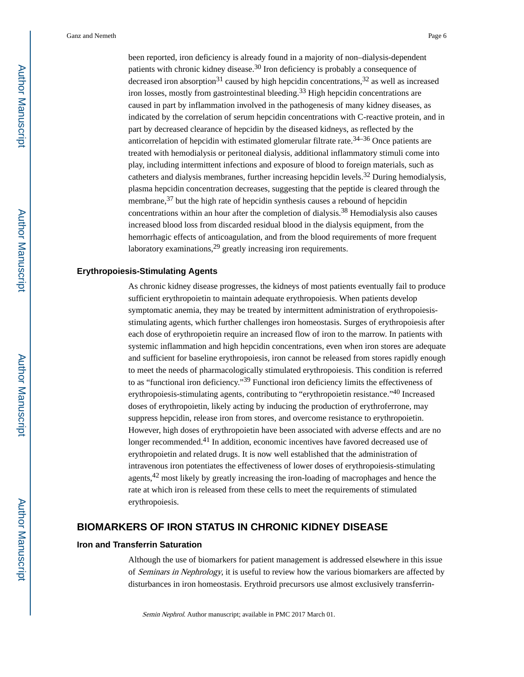been reported, iron deficiency is already found in a majority of non–dialysis-dependent patients with chronic kidney disease.30 Iron deficiency is probably a consequence of decreased iron absorption<sup>31</sup> caused by high hepcidin concentrations,<sup>32</sup> as well as increased iron losses, mostly from gastrointestinal bleeding.33 High hepcidin concentrations are caused in part by inflammation involved in the pathogenesis of many kidney diseases, as indicated by the correlation of serum hepcidin concentrations with C-reactive protein, and in part by decreased clearance of hepcidin by the diseased kidneys, as reflected by the anticorrelation of hepcidin with estimated glomerular filtrate rate.<sup>34–36</sup> Once patients are treated with hemodialysis or peritoneal dialysis, additional inflammatory stimuli come into play, including intermittent infections and exposure of blood to foreign materials, such as catheters and dialysis membranes, further increasing hepcidin levels.32 During hemodialysis, plasma hepcidin concentration decreases, suggesting that the peptide is cleared through the membrane,<sup>37</sup> but the high rate of hepcidin synthesis causes a rebound of hepcidin concentrations within an hour after the completion of dialysis.38 Hemodialysis also causes increased blood loss from discarded residual blood in the dialysis equipment, from the hemorrhagic effects of anticoagulation, and from the blood requirements of more frequent laboratory examinations,<sup>29</sup> greatly increasing iron requirements.

#### **Erythropoiesis-Stimulating Agents**

As chronic kidney disease progresses, the kidneys of most patients eventually fail to produce sufficient erythropoietin to maintain adequate erythropoiesis. When patients develop symptomatic anemia, they may be treated by intermittent administration of erythropoiesisstimulating agents, which further challenges iron homeostasis. Surges of erythropoiesis after each dose of erythropoietin require an increased flow of iron to the marrow. In patients with systemic inflammation and high hepcidin concentrations, even when iron stores are adequate and sufficient for baseline erythropoiesis, iron cannot be released from stores rapidly enough to meet the needs of pharmacologically stimulated erythropoiesis. This condition is referred to as "functional iron deficiency."39 Functional iron deficiency limits the effectiveness of erythropoiesis-stimulating agents, contributing to "erythropoietin resistance."40 Increased doses of erythropoietin, likely acting by inducing the production of erythroferrone, may suppress hepcidin, release iron from stores, and overcome resistance to erythropoietin. However, high doses of erythropoietin have been associated with adverse effects and are no longer recommended.<sup>41</sup> In addition, economic incentives have favored decreased use of erythropoietin and related drugs. It is now well established that the administration of intravenous iron potentiates the effectiveness of lower doses of erythropoiesis-stimulating agents,42 most likely by greatly increasing the iron-loading of macrophages and hence the rate at which iron is released from these cells to meet the requirements of stimulated erythropoiesis.

## **BIOMARKERS OF IRON STATUS IN CHRONIC KIDNEY DISEASE**

#### **Iron and Transferrin Saturation**

Although the use of biomarkers for patient management is addressed elsewhere in this issue of Seminars in Nephrology, it is useful to review how the various biomarkers are affected by disturbances in iron homeostasis. Erythroid precursors use almost exclusively transferrin-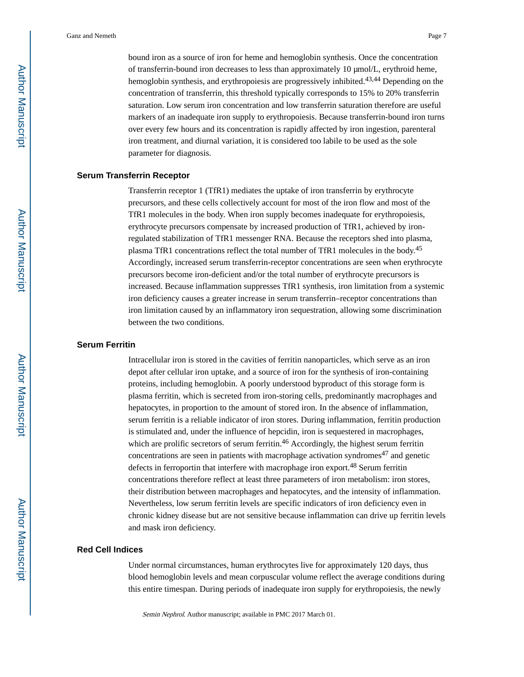bound iron as a source of iron for heme and hemoglobin synthesis. Once the concentration of transferrin-bound iron decreases to less than approximately 10 μmol/L, erythroid heme, hemoglobin synthesis, and erythropoiesis are progressively inhibited.<sup>43,44</sup> Depending on the concentration of transferrin, this threshold typically corresponds to 15% to 20% transferrin saturation. Low serum iron concentration and low transferrin saturation therefore are useful markers of an inadequate iron supply to erythropoiesis. Because transferrin-bound iron turns over every few hours and its concentration is rapidly affected by iron ingestion, parenteral iron treatment, and diurnal variation, it is considered too labile to be used as the sole parameter for diagnosis.

#### **Serum Transferrin Receptor**

Transferrin receptor 1 (TfR1) mediates the uptake of iron transferrin by erythrocyte precursors, and these cells collectively account for most of the iron flow and most of the TfR1 molecules in the body. When iron supply becomes inadequate for erythropoiesis, erythrocyte precursors compensate by increased production of TfR1, achieved by ironregulated stabilization of TfR1 messenger RNA. Because the receptors shed into plasma, plasma TfR1 concentrations reflect the total number of TfR1 molecules in the body.<sup>45</sup> Accordingly, increased serum transferrin-receptor concentrations are seen when erythrocyte precursors become iron-deficient and/or the total number of erythrocyte precursors is increased. Because inflammation suppresses TfR1 synthesis, iron limitation from a systemic iron deficiency causes a greater increase in serum transferrin–receptor concentrations than iron limitation caused by an inflammatory iron sequestration, allowing some discrimination between the two conditions.

#### **Serum Ferritin**

Intracellular iron is stored in the cavities of ferritin nanoparticles, which serve as an iron depot after cellular iron uptake, and a source of iron for the synthesis of iron-containing proteins, including hemoglobin. A poorly understood byproduct of this storage form is plasma ferritin, which is secreted from iron-storing cells, predominantly macrophages and hepatocytes, in proportion to the amount of stored iron. In the absence of inflammation, serum ferritin is a reliable indicator of iron stores. During inflammation, ferritin production is stimulated and, under the influence of hepcidin, iron is sequestered in macrophages, which are prolific secretors of serum ferritin.<sup>46</sup> Accordingly, the highest serum ferritin concentrations are seen in patients with macrophage activation syndromes<sup>47</sup> and genetic defects in ferroportin that interfere with macrophage iron export.<sup>48</sup> Serum ferritin concentrations therefore reflect at least three parameters of iron metabolism: iron stores, their distribution between macrophages and hepatocytes, and the intensity of inflammation. Nevertheless, low serum ferritin levels are specific indicators of iron deficiency even in chronic kidney disease but are not sensitive because inflammation can drive up ferritin levels and mask iron deficiency.

## **Red Cell Indices**

Under normal circumstances, human erythrocytes live for approximately 120 days, thus blood hemoglobin levels and mean corpuscular volume reflect the average conditions during this entire timespan. During periods of inadequate iron supply for erythropoiesis, the newly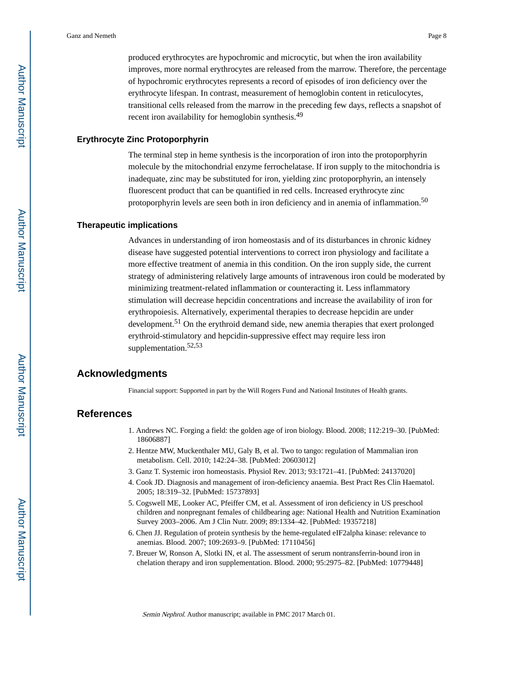produced erythrocytes are hypochromic and microcytic, but when the iron availability improves, more normal erythrocytes are released from the marrow. Therefore, the percentage of hypochromic erythrocytes represents a record of episodes of iron deficiency over the erythrocyte lifespan. In contrast, measurement of hemoglobin content in reticulocytes, transitional cells released from the marrow in the preceding few days, reflects a snapshot of recent iron availability for hemoglobin synthesis.<sup>49</sup>

#### **Erythrocyte Zinc Protoporphyrin**

The terminal step in heme synthesis is the incorporation of iron into the protoporphyrin molecule by the mitochondrial enzyme ferrochelatase. If iron supply to the mitochondria is inadequate, zinc may be substituted for iron, yielding zinc protoporphyrin, an intensely fluorescent product that can be quantified in red cells. Increased erythrocyte zinc protoporphyrin levels are seen both in iron deficiency and in anemia of inflammation.<sup>50</sup>

#### **Therapeutic implications**

Advances in understanding of iron homeostasis and of its disturbances in chronic kidney disease have suggested potential interventions to correct iron physiology and facilitate a more effective treatment of anemia in this condition. On the iron supply side, the current strategy of administering relatively large amounts of intravenous iron could be moderated by minimizing treatment-related inflammation or counteracting it. Less inflammatory stimulation will decrease hepcidin concentrations and increase the availability of iron for erythropoiesis. Alternatively, experimental therapies to decrease hepcidin are under development.<sup>51</sup> On the erythroid demand side, new anemia therapies that exert prolonged erythroid-stimulatory and hepcidin-suppressive effect may require less iron supplementation.52,53

### **Acknowledgments**

Financial support: Supported in part by the Will Rogers Fund and National Institutes of Health grants.

#### **References**

- 1. Andrews NC. Forging a field: the golden age of iron biology. Blood. 2008; 112:219–30. [PubMed: 18606887]
- 2. Hentze MW, Muckenthaler MU, Galy B, et al. Two to tango: regulation of Mammalian iron metabolism. Cell. 2010; 142:24–38. [PubMed: 20603012]
- 3. Ganz T. Systemic iron homeostasis. Physiol Rev. 2013; 93:1721–41. [PubMed: 24137020]
- 4. Cook JD. Diagnosis and management of iron-deficiency anaemia. Best Pract Res Clin Haematol. 2005; 18:319–32. [PubMed: 15737893]
- 5. Cogswell ME, Looker AC, Pfeiffer CM, et al. Assessment of iron deficiency in US preschool children and nonpregnant females of childbearing age: National Health and Nutrition Examination Survey 2003–2006. Am J Clin Nutr. 2009; 89:1334–42. [PubMed: 19357218]
- 6. Chen JJ. Regulation of protein synthesis by the heme-regulated eIF2alpha kinase: relevance to anemias. Blood. 2007; 109:2693–9. [PubMed: 17110456]
- 7. Breuer W, Ronson A, Slotki IN, et al. The assessment of serum nontransferrin-bound iron in chelation therapy and iron supplementation. Blood. 2000; 95:2975–82. [PubMed: 10779448]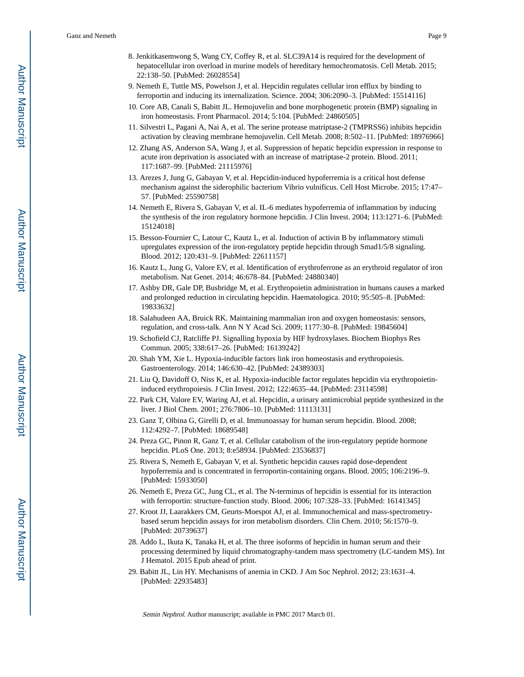- 8. Jenkitkasemwong S, Wang CY, Coffey R, et al. SLC39A14 is required for the development of hepatocellular iron overload in murine models of hereditary hemochromatosis. Cell Metab. 2015; 22:138–50. [PubMed: 26028554]
- 9. Nemeth E, Tuttle MS, Powelson J, et al. Hepcidin regulates cellular iron efflux by binding to ferroportin and inducing its internalization. Science. 2004; 306:2090–3. [PubMed: 15514116]
- 10. Core AB, Canali S, Babitt JL. Hemojuvelin and bone morphogenetic protein (BMP) signaling in iron homeostasis. Front Pharmacol. 2014; 5:104. [PubMed: 24860505]
- 11. Silvestri L, Pagani A, Nai A, et al. The serine protease matriptase-2 (TMPRSS6) inhibits hepcidin activation by cleaving membrane hemojuvelin. Cell Metab. 2008; 8:502–11. [PubMed: 18976966]
- 12. Zhang AS, Anderson SA, Wang J, et al. Suppression of hepatic hepcidin expression in response to acute iron deprivation is associated with an increase of matriptase-2 protein. Blood. 2011; 117:1687–99. [PubMed: 21115976]
- 13. Arezes J, Jung G, Gabayan V, et al. Hepcidin-induced hypoferremia is a critical host defense mechanism against the siderophilic bacterium Vibrio vulnificus. Cell Host Microbe. 2015; 17:47– 57. [PubMed: 25590758]
- 14. Nemeth E, Rivera S, Gabayan V, et al. IL-6 mediates hypoferremia of inflammation by inducing the synthesis of the iron regulatory hormone hepcidin. J Clin Invest. 2004; 113:1271–6. [PubMed: 15124018]
- 15. Besson-Fournier C, Latour C, Kautz L, et al. Induction of activin B by inflammatory stimuli upregulates expression of the iron-regulatory peptide hepcidin through Smad1/5/8 signaling. Blood. 2012; 120:431–9. [PubMed: 22611157]
- 16. Kautz L, Jung G, Valore EV, et al. Identification of erythroferrone as an erythroid regulator of iron metabolism. Nat Genet. 2014; 46:678–84. [PubMed: 24880340]
- 17. Ashby DR, Gale DP, Busbridge M, et al. Erythropoietin administration in humans causes a marked and prolonged reduction in circulating hepcidin. Haematologica. 2010; 95:505–8. [PubMed: 19833632]
- 18. Salahudeen AA, Bruick RK. Maintaining mammalian iron and oxygen homeostasis: sensors, regulation, and cross-talk. Ann N Y Acad Sci. 2009; 1177:30–8. [PubMed: 19845604]
- 19. Schofield CJ, Ratcliffe PJ. Signalling hypoxia by HIF hydroxylases. Biochem Biophys Res Commun. 2005; 338:617–26. [PubMed: 16139242]
- 20. Shah YM, Xie L. Hypoxia-inducible factors link iron homeostasis and erythropoiesis. Gastroenterology. 2014; 146:630–42. [PubMed: 24389303]
- 21. Liu Q, Davidoff O, Niss K, et al. Hypoxia-inducible factor regulates hepcidin via erythropoietininduced erythropoiesis. J Clin Invest. 2012; 122:4635–44. [PubMed: 23114598]
- 22. Park CH, Valore EV, Waring AJ, et al. Hepcidin, a urinary antimicrobial peptide synthesized in the liver. J Biol Chem. 2001; 276:7806–10. [PubMed: 11113131]
- 23. Ganz T, Olbina G, Girelli D, et al. Immunoassay for human serum hepcidin. Blood. 2008; 112:4292–7. [PubMed: 18689548]
- 24. Preza GC, Pinon R, Ganz T, et al. Cellular catabolism of the iron-regulatory peptide hormone hepcidin. PLoS One. 2013; 8:e58934. [PubMed: 23536837]
- 25. Rivera S, Nemeth E, Gabayan V, et al. Synthetic hepcidin causes rapid dose-dependent hypoferremia and is concentrated in ferroportin-containing organs. Blood. 2005; 106:2196–9. [PubMed: 15933050]
- 26. Nemeth E, Preza GC, Jung CL, et al. The N-terminus of hepcidin is essential for its interaction with ferroportin: structure-function study. Blood. 2006; 107:328–33. [PubMed: 16141345]
- 27. Kroot JJ, Laarakkers CM, Geurts-Moespot AJ, et al. Immunochemical and mass-spectrometrybased serum hepcidin assays for iron metabolism disorders. Clin Chem. 2010; 56:1570–9. [PubMed: 20739637]
- 28. Addo L, Ikuta K, Tanaka H, et al. The three isoforms of hepcidin in human serum and their processing determined by liquid chromatography-tandem mass spectrometry (LC-tandem MS). Int J Hematol. 2015 Epub ahead of print.
- 29. Babitt JL, Lin HY. Mechanisms of anemia in CKD. J Am Soc Nephrol. 2012; 23:1631–4. [PubMed: 22935483]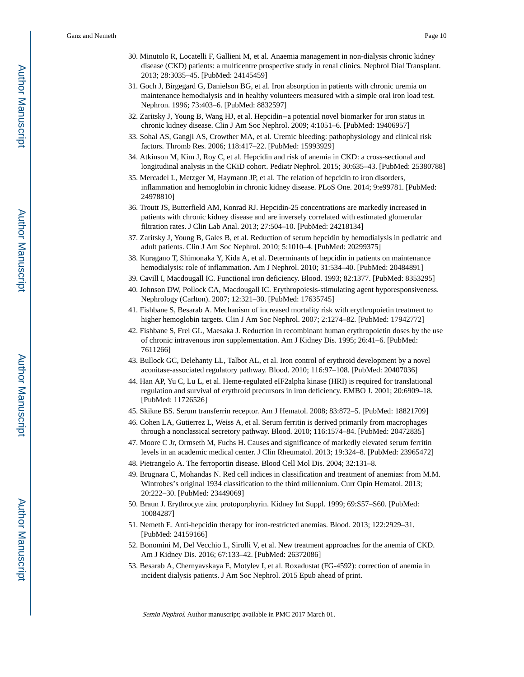- 30. Minutolo R, Locatelli F, Gallieni M, et al. Anaemia management in non-dialysis chronic kidney disease (CKD) patients: a multicentre prospective study in renal clinics. Nephrol Dial Transplant. 2013; 28:3035–45. [PubMed: 24145459]
- 31. Goch J, Birgegard G, Danielson BG, et al. Iron absorption in patients with chronic uremia on maintenance hemodialysis and in healthy volunteers measured with a simple oral iron load test. Nephron. 1996; 73:403–6. [PubMed: 8832597]
- 32. Zaritsky J, Young B, Wang HJ, et al. Hepcidin--a potential novel biomarker for iron status in chronic kidney disease. Clin J Am Soc Nephrol. 2009; 4:1051–6. [PubMed: 19406957]
- 33. Sohal AS, Gangji AS, Crowther MA, et al. Uremic bleeding: pathophysiology and clinical risk factors. Thromb Res. 2006; 118:417–22. [PubMed: 15993929]
- 34. Atkinson M, Kim J, Roy C, et al. Hepcidin and risk of anemia in CKD: a cross-sectional and longitudinal analysis in the CKiD cohort. Pediatr Nephrol. 2015; 30:635–43. [PubMed: 25380788]
- 35. Mercadel L, Metzger M, Haymann JP, et al. The relation of hepcidin to iron disorders, inflammation and hemoglobin in chronic kidney disease. PLoS One. 2014; 9:e99781. [PubMed: 24978810]
- 36. Troutt JS, Butterfield AM, Konrad RJ. Hepcidin-25 concentrations are markedly increased in patients with chronic kidney disease and are inversely correlated with estimated glomerular filtration rates. J Clin Lab Anal. 2013; 27:504–10. [PubMed: 24218134]
- 37. Zaritsky J, Young B, Gales B, et al. Reduction of serum hepcidin by hemodialysis in pediatric and adult patients. Clin J Am Soc Nephrol. 2010; 5:1010–4. [PubMed: 20299375]
- 38. Kuragano T, Shimonaka Y, Kida A, et al. Determinants of hepcidin in patients on maintenance hemodialysis: role of inflammation. Am J Nephrol. 2010; 31:534–40. [PubMed: 20484891]
- 39. Cavill I, Macdougall IC. Functional iron deficiency. Blood. 1993; 82:1377. [PubMed: 8353295]
- 40. Johnson DW, Pollock CA, Macdougall IC. Erythropoiesis-stimulating agent hyporesponsiveness. Nephrology (Carlton). 2007; 12:321–30. [PubMed: 17635745]
- 41. Fishbane S, Besarab A. Mechanism of increased mortality risk with erythropoietin treatment to higher hemoglobin targets. Clin J Am Soc Nephrol. 2007; 2:1274–82. [PubMed: 17942772]
- 42. Fishbane S, Frei GL, Maesaka J. Reduction in recombinant human erythropoietin doses by the use of chronic intravenous iron supplementation. Am J Kidney Dis. 1995; 26:41–6. [PubMed: 7611266]
- 43. Bullock GC, Delehanty LL, Talbot AL, et al. Iron control of erythroid development by a novel aconitase-associated regulatory pathway. Blood. 2010; 116:97–108. [PubMed: 20407036]
- 44. Han AP, Yu C, Lu L, et al. Heme-regulated eIF2alpha kinase (HRI) is required for translational regulation and survival of erythroid precursors in iron deficiency. EMBO J. 2001; 20:6909–18. [PubMed: 11726526]
- 45. Skikne BS. Serum transferrin receptor. Am J Hematol. 2008; 83:872–5. [PubMed: 18821709]
- 46. Cohen LA, Gutierrez L, Weiss A, et al. Serum ferritin is derived primarily from macrophages through a nonclassical secretory pathway. Blood. 2010; 116:1574–84. [PubMed: 20472835]
- 47. Moore C Jr, Ormseth M, Fuchs H. Causes and significance of markedly elevated serum ferritin levels in an academic medical center. J Clin Rheumatol. 2013; 19:324–8. [PubMed: 23965472]
- 48. Pietrangelo A. The ferroportin disease. Blood Cell Mol Dis. 2004; 32:131–8.
- 49. Brugnara C, Mohandas N. Red cell indices in classification and treatment of anemias: from M.M. Wintrobes's original 1934 classification to the third millennium. Curr Opin Hematol. 2013; 20:222–30. [PubMed: 23449069]
- 50. Braun J. Erythrocyte zinc protoporphyrin. Kidney Int Suppl. 1999; 69:S57–S60. [PubMed: 10084287]
- 51. Nemeth E. Anti-hepcidin therapy for iron-restricted anemias. Blood. 2013; 122:2929–31. [PubMed: 24159166]
- 52. Bonomini M, Del Vecchio L, Sirolli V, et al. New treatment approaches for the anemia of CKD. Am J Kidney Dis. 2016; 67:133–42. [PubMed: 26372086]
- 53. Besarab A, Chernyavskaya E, Motylev I, et al. Roxadustat (FG-4592): correction of anemia in incident dialysis patients. J Am Soc Nephrol. 2015 Epub ahead of print.